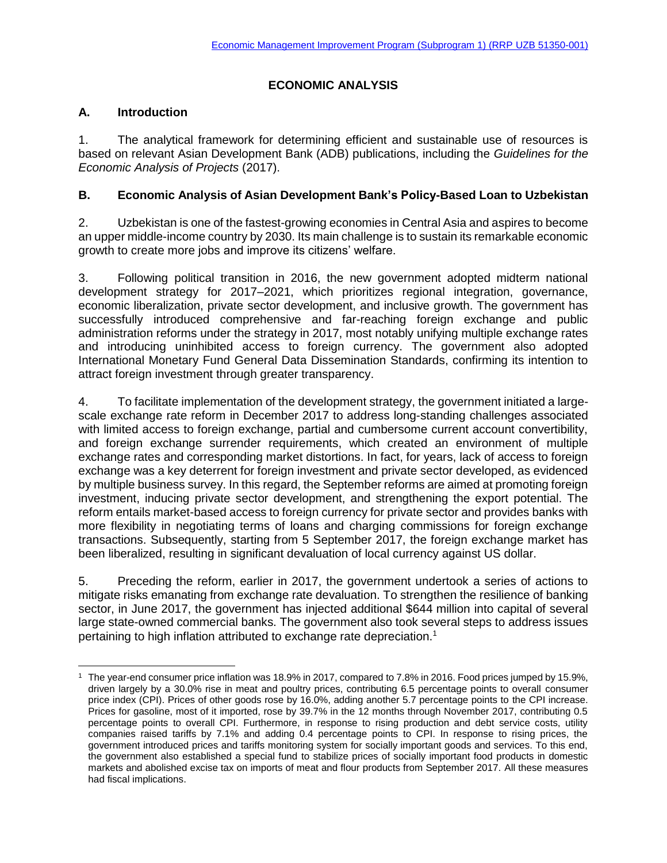# **ECONOMIC ANALYSIS**

## **A. Introduction**

 $\overline{\phantom{a}}$ 

1. The analytical framework for determining efficient and sustainable use of resources is based on relevant Asian Development Bank (ADB) publications, including the *Guidelines for the Economic Analysis of Projects* (2017).

## **B. Economic Analysis of Asian Development Bank's Policy-Based Loan to Uzbekistan**

2. Uzbekistan is one of the fastest-growing economies in Central Asia and aspires to become an upper middle-income country by 2030. Its main challenge is to sustain its remarkable economic growth to create more jobs and improve its citizens' welfare.

3. Following political transition in 2016, the new government adopted midterm national development strategy for 2017–2021, which prioritizes regional integration, governance, economic liberalization, private sector development, and inclusive growth. The government has successfully introduced comprehensive and far-reaching foreign exchange and public administration reforms under the strategy in 2017, most notably unifying multiple exchange rates and introducing uninhibited access to foreign currency. The government also adopted International Monetary Fund General Data Dissemination Standards, confirming its intention to attract foreign investment through greater transparency.

4. To facilitate implementation of the development strategy, the government initiated a largescale exchange rate reform in December 2017 to address long-standing challenges associated with limited access to foreign exchange, partial and cumbersome current account convertibility, and foreign exchange surrender requirements, which created an environment of multiple exchange rates and corresponding market distortions. In fact, for years, lack of access to foreign exchange was a key deterrent for foreign investment and private sector developed, as evidenced by multiple business survey. In this regard, the September reforms are aimed at promoting foreign investment, inducing private sector development, and strengthening the export potential. The reform entails market-based access to foreign currency for private sector and provides banks with more flexibility in negotiating terms of loans and charging commissions for foreign exchange transactions. Subsequently, starting from 5 September 2017, the foreign exchange market has been liberalized, resulting in significant devaluation of local currency against US dollar.

5. Preceding the reform, earlier in 2017, the government undertook a series of actions to mitigate risks emanating from exchange rate devaluation. To strengthen the resilience of banking sector, in June 2017, the government has injected additional \$644 million into capital of several large state-owned commercial banks. The government also took several steps to address issues pertaining to high inflation attributed to exchange rate depreciation.<sup>1</sup>

<sup>1</sup> The year-end consumer price inflation was 18.9% in 2017, compared to 7.8% in 2016. Food prices jumped by 15.9%, driven largely by a 30.0% rise in meat and poultry prices, contributing 6.5 percentage points to overall consumer price index (CPI). Prices of other goods rose by 16.0%, adding another 5.7 percentage points to the CPI increase. Prices for gasoline, most of it imported, rose by 39.7% in the 12 months through November 2017, contributing 0.5 percentage points to overall CPI. Furthermore, in response to rising production and debt service costs, utility companies raised tariffs by 7.1% and adding 0.4 percentage points to CPI. In response to rising prices, the government introduced prices and tariffs monitoring system for socially important goods and services. To this end, the government also established a special fund to stabilize prices of socially important food products in domestic markets and abolished excise tax on imports of meat and flour products from September 2017. All these measures had fiscal implications.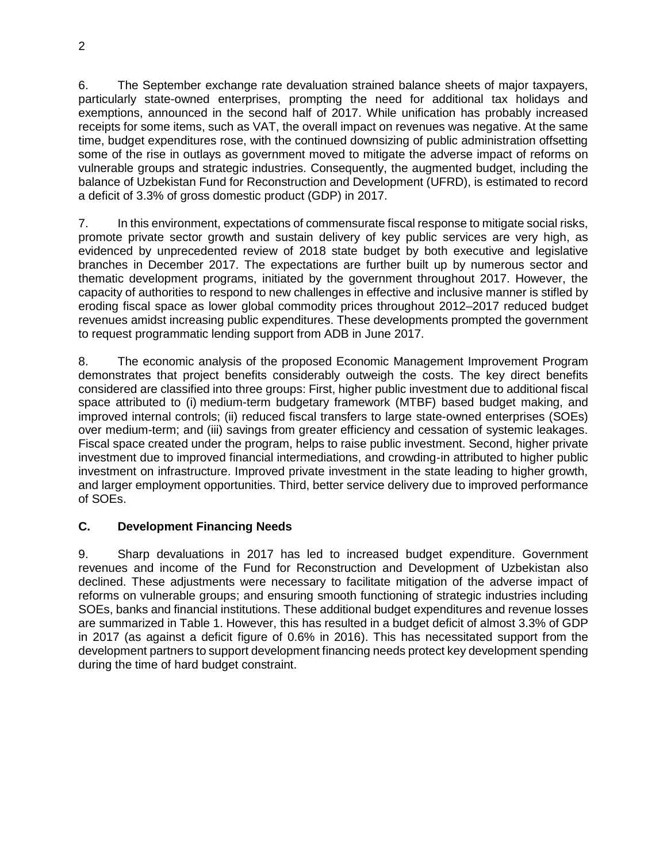6. The September exchange rate devaluation strained balance sheets of major taxpayers, particularly state-owned enterprises, prompting the need for additional tax holidays and exemptions, announced in the second half of 2017. While unification has probably increased receipts for some items, such as VAT, the overall impact on revenues was negative. At the same time, budget expenditures rose, with the continued downsizing of public administration offsetting some of the rise in outlays as government moved to mitigate the adverse impact of reforms on vulnerable groups and strategic industries. Consequently, the augmented budget, including the balance of Uzbekistan Fund for Reconstruction and Development (UFRD), is estimated to record a deficit of 3.3% of gross domestic product (GDP) in 2017.

7. In this environment, expectations of commensurate fiscal response to mitigate social risks, promote private sector growth and sustain delivery of key public services are very high, as evidenced by unprecedented review of 2018 state budget by both executive and legislative branches in December 2017. The expectations are further built up by numerous sector and thematic development programs, initiated by the government throughout 2017. However, the capacity of authorities to respond to new challenges in effective and inclusive manner is stifled by eroding fiscal space as lower global commodity prices throughout 2012–2017 reduced budget revenues amidst increasing public expenditures. These developments prompted the government to request programmatic lending support from ADB in June 2017.

8. The economic analysis of the proposed Economic Management Improvement Program demonstrates that project benefits considerably outweigh the costs. The key direct benefits considered are classified into three groups: First, higher public investment due to additional fiscal space attributed to (i) medium-term budgetary framework (MTBF) based budget making, and improved internal controls; (ii) reduced fiscal transfers to large state-owned enterprises (SOEs) over medium-term; and (iii) savings from greater efficiency and cessation of systemic leakages. Fiscal space created under the program, helps to raise public investment. Second, higher private investment due to improved financial intermediations, and crowding-in attributed to higher public investment on infrastructure. Improved private investment in the state leading to higher growth, and larger employment opportunities. Third, better service delivery due to improved performance of SOEs.

## **C. Development Financing Needs**

9. Sharp devaluations in 2017 has led to increased budget expenditure. Government revenues and income of the Fund for Reconstruction and Development of Uzbekistan also declined. These adjustments were necessary to facilitate mitigation of the adverse impact of reforms on vulnerable groups; and ensuring smooth functioning of strategic industries including SOEs, banks and financial institutions. These additional budget expenditures and revenue losses are summarized in Table 1. However, this has resulted in a budget deficit of almost 3.3% of GDP in 2017 (as against a deficit figure of 0.6% in 2016). This has necessitated support from the development partners to support development financing needs protect key development spending during the time of hard budget constraint.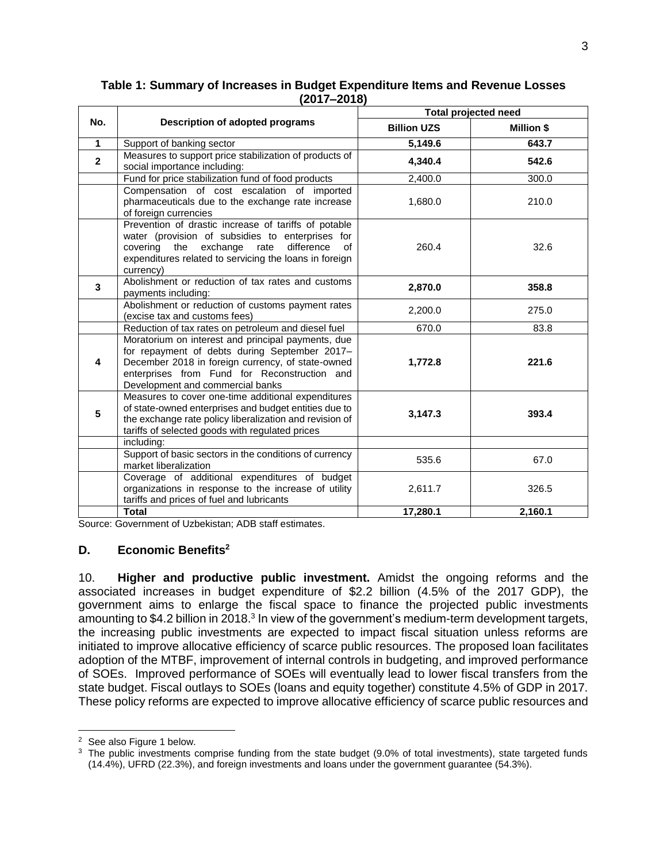| No.          | Description of adopted programs                                                                                                                                                                                                              | <b>Total projected need</b> |                   |
|--------------|----------------------------------------------------------------------------------------------------------------------------------------------------------------------------------------------------------------------------------------------|-----------------------------|-------------------|
|              |                                                                                                                                                                                                                                              | <b>Billion UZS</b>          | <b>Million \$</b> |
| $\mathbf{1}$ | Support of banking sector                                                                                                                                                                                                                    | 5,149.6                     | 643.7             |
| $\mathbf{2}$ | Measures to support price stabilization of products of<br>social importance including:                                                                                                                                                       | 4,340.4                     | 542.6             |
|              | Fund for price stabilization fund of food products                                                                                                                                                                                           | 2,400.0                     | 300.0             |
|              | Compensation of cost escalation of imported<br>pharmaceuticals due to the exchange rate increase<br>of foreign currencies                                                                                                                    | 1,680.0                     | 210.0             |
|              | Prevention of drastic increase of tariffs of potable<br>water (provision of subsidies to enterprises for<br>covering the exchange rate<br>difference<br>of<br>expenditures related to servicing the loans in foreign<br>currency)            | 260.4                       | 32.6              |
| $\mathbf{3}$ | Abolishment or reduction of tax rates and customs<br>payments including:                                                                                                                                                                     | 2,870.0                     | 358.8             |
|              | Abolishment or reduction of customs payment rates<br>(excise tax and customs fees)                                                                                                                                                           | 2,200.0                     | 275.0             |
|              | Reduction of tax rates on petroleum and diesel fuel                                                                                                                                                                                          | 670.0                       | 83.8              |
| 4            | Moratorium on interest and principal payments, due<br>for repayment of debts during September 2017-<br>December 2018 in foreign currency, of state-owned<br>enterprises from Fund for Reconstruction and<br>Development and commercial banks | 1,772.8                     | 221.6             |
| 5            | Measures to cover one-time additional expenditures<br>of state-owned enterprises and budget entities due to<br>the exchange rate policy liberalization and revision of<br>tariffs of selected goods with regulated prices                    | 3,147.3                     | 393.4             |
|              | including:                                                                                                                                                                                                                                   |                             |                   |
|              | Support of basic sectors in the conditions of currency<br>market liberalization                                                                                                                                                              | 535.6                       | 67.0              |
|              | Coverage of additional expenditures of budget<br>organizations in response to the increase of utility<br>tariffs and prices of fuel and lubricants                                                                                           | 2,611.7                     | 326.5             |
|              | <b>Total</b>                                                                                                                                                                                                                                 | 17,280.1                    | 2,160.1           |

### **Table 1: Summary of Increases in Budget Expenditure Items and Revenue Losses (2017–2018)**

Source: Government of Uzbekistan; ADB staff estimates.

### **D. Economic Benefits<sup>2</sup>**

10. **Higher and productive public investment.** Amidst the ongoing reforms and the associated increases in budget expenditure of \$2.2 billion (4.5% of the 2017 GDP), the government aims to enlarge the fiscal space to finance the projected public investments amounting to \$4.2 billion in 2018.<sup>3</sup> In view of the government's medium-term development targets, the increasing public investments are expected to impact fiscal situation unless reforms are initiated to improve allocative efficiency of scarce public resources. The proposed loan facilitates adoption of the MTBF, improvement of internal controls in budgeting, and improved performance of SOEs. Improved performance of SOEs will eventually lead to lower fiscal transfers from the state budget. Fiscal outlays to SOEs (loans and equity together) constitute 4.5% of GDP in 2017. These policy reforms are expected to improve allocative efficiency of scarce public resources and

 $\overline{\phantom{a}}$ <sup>2</sup> See also Figure 1 below.

<sup>&</sup>lt;sup>3</sup> The public investments comprise funding from the state budget (9.0% of total investments), state targeted funds (14.4%), UFRD (22.3%), and foreign investments and loans under the government guarantee (54.3%).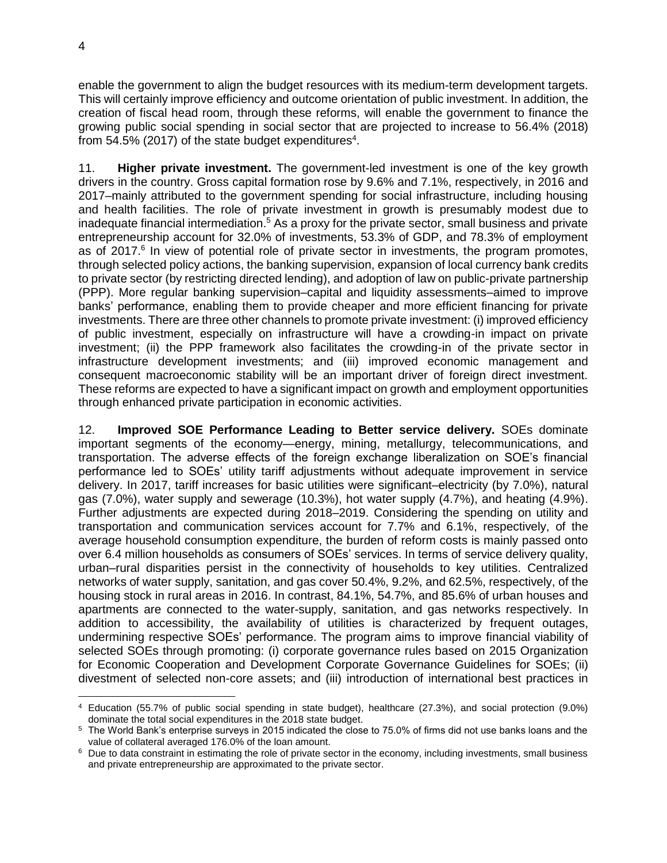enable the government to align the budget resources with its medium-term development targets. This will certainly improve efficiency and outcome orientation of public investment. In addition, the creation of fiscal head room, through these reforms, will enable the government to finance the growing public social spending in social sector that are projected to increase to 56.4% (2018) from 54.5% (2017) of the state budget expenditures<sup>4</sup>.

11. **Higher private investment.** The government-led investment is one of the key growth drivers in the country. Gross capital formation rose by 9.6% and 7.1%, respectively, in 2016 and 2017–mainly attributed to the government spending for social infrastructure, including housing and health facilities. The role of private investment in growth is presumably modest due to inadequate financial intermediation.<sup>5</sup> As a proxy for the private sector, small business and private entrepreneurship account for 32.0% of investments, 53.3% of GDP, and 78.3% of employment as of 2017.<sup>6</sup> In view of potential role of private sector in investments, the program promotes, through selected policy actions, the banking supervision, expansion of local currency bank credits to private sector (by restricting directed lending), and adoption of law on public-private partnership (PPP). More regular banking supervision–capital and liquidity assessments–aimed to improve banks' performance, enabling them to provide cheaper and more efficient financing for private investments. There are three other channels to promote private investment: (i) improved efficiency of public investment, especially on infrastructure will have a crowding-in impact on private investment; (ii) the PPP framework also facilitates the crowding-in of the private sector in infrastructure development investments; and (iii) improved economic management and consequent macroeconomic stability will be an important driver of foreign direct investment. These reforms are expected to have a significant impact on growth and employment opportunities through enhanced private participation in economic activities.

12. **Improved SOE Performance Leading to Better service delivery.** SOEs dominate important segments of the economy—energy, mining, metallurgy, telecommunications, and transportation. The adverse effects of the foreign exchange liberalization on SOE's financial performance led to SOEs' utility tariff adjustments without adequate improvement in service delivery. In 2017, tariff increases for basic utilities were significant–electricity (by 7.0%), natural gas (7.0%), water supply and sewerage (10.3%), hot water supply (4.7%), and heating (4.9%). Further adjustments are expected during 2018–2019. Considering the spending on utility and transportation and communication services account for 7.7% and 6.1%, respectively, of the average household consumption expenditure, the burden of reform costs is mainly passed onto over 6.4 million households as consumers of SOEs' services. In terms of service delivery quality, urban–rural disparities persist in the connectivity of households to key utilities. Centralized networks of water supply, sanitation, and gas cover 50.4%, 9.2%, and 62.5%, respectively, of the housing stock in rural areas in 2016. In contrast, 84.1%, 54.7%, and 85.6% of urban houses and apartments are connected to the water-supply, sanitation, and gas networks respectively. In addition to accessibility, the availability of utilities is characterized by frequent outages, undermining respective SOEs' performance. The program aims to improve financial viability of selected SOEs through promoting: (i) corporate governance rules based on 2015 Organization for Economic Cooperation and Development Corporate Governance Guidelines for SOEs; (ii) divestment of selected non-core assets; and (iii) introduction of international best practices in

l <sup>4</sup> Education (55.7% of public social spending in state budget), healthcare (27.3%), and social protection (9.0%) dominate the total social expenditures in the 2018 state budget.

<sup>5</sup> The World Bank's enterprise surveys in 2015 indicated the close to 75.0% of firms did not use banks loans and the value of collateral averaged 176.0% of the loan amount.

<sup>&</sup>lt;sup>6</sup> Due to data constraint in estimating the role of private sector in the economy, including investments, small business and private entrepreneurship are approximated to the private sector.